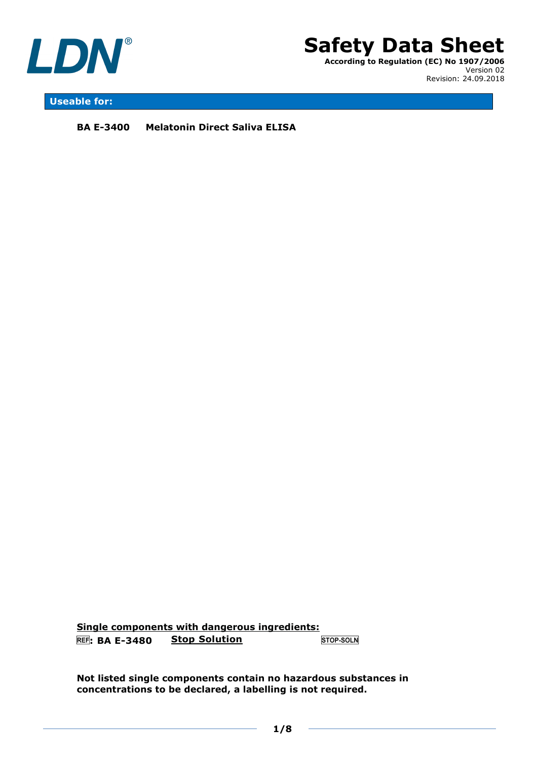



## **Useable for:**

**BA E-3400 Melatonin Direct Saliva ELISA** 

**Single components with dangerous ingredients: : BA E-3480 Stop Solution** STOP-SOLN

**Not listed single components contain no hazardous substances in concentrations to be declared, a labelling is not required.**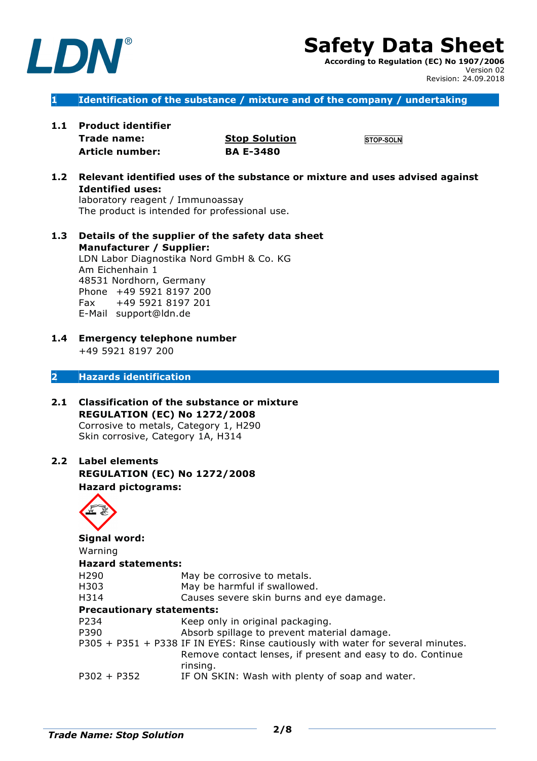

# **Safety Data Sheet**

**According to Regulation (EC) No 1907/2006** Version 02 Revision: 24.09.2018

## **1 Identification of the substance / mixture and of the company / undertaking**

**1.1 Product identifier Trade name: Stop Solution**

**Article number: BA E-3480** 

**STOP-SOLN** 

**1.2 Relevant identified uses of the substance or mixture and uses advised against Identified uses:** laboratory reagent / Immunoassay

The product is intended for professional use.

**1.3 Details of the supplier of the safety data sheet Manufacturer / Supplier:**  LDN Labor Diagnostika Nord GmbH & Co. KG Am Eichenhain 1 48531 Nordhorn, Germany Phone +49 5921 8197 200 Fax +49 5921 8197 201

E-Mail support@ldn.de

**1.4 Emergency telephone number**  +49 5921 8197 200

## **2 Hazards identification**

- **2.1 Classification of the substance or mixture REGULATION (EC) No 1272/2008**  Corrosive to metals, Category 1, H290 Skin corrosive, Category 1A, H314
- **2.2 Label elements REGULATION (EC) No 1272/2008 Hazard pictograms:**



**Signal word:** Warning **Hazard statements:** H290 May be corrosive to metals. H303 May be harmful if swallowed. H314 Causes severe skin burns and eye damage. **Precautionary statements:**  P234 Keep only in original packaging. P390 Absorb spillage to prevent material damage. P305 + P351 + P338 IF IN EYES: Rinse cautiously with water for several minutes. Remove contact lenses, if present and easy to do. Continue rinsing.

P302 + P352 IF ON SKIN: Wash with plenty of soap and water.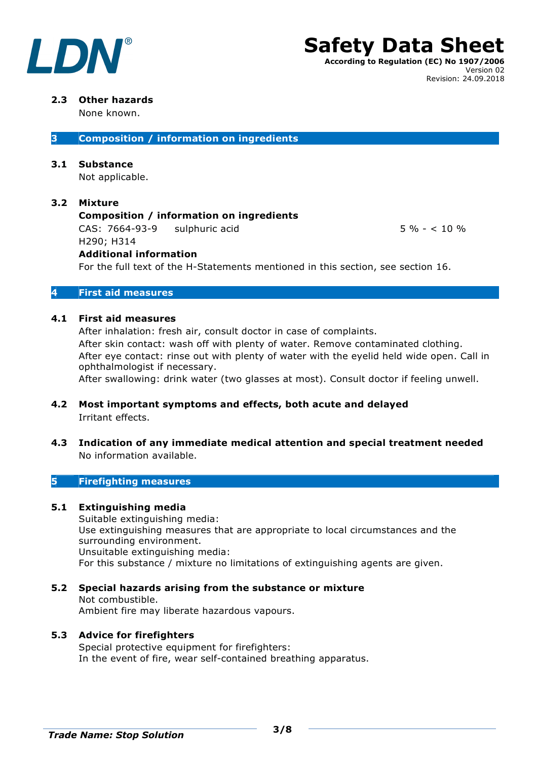

## **Safety Data Sheet According to Regulation (EC) No 1907/2006** Version 02

## **2.3 Other hazards**

None known.

**3 Composition / information on ingredients** 

## **3.1 Substance**

Not applicable.

## **3.2 Mixture**

## **Composition / information on ingredients**

CAS:  $7664-93-9$  sulphuric acid 5 % - < 10 % H290; H314

Revision: 24.09.2018

## **Additional information**

For the full text of the H-Statements mentioned in this section, see section 16.

## **4 First aid measures**

## **4.1 First aid measures**

After inhalation: fresh air, consult doctor in case of complaints. After skin contact: wash off with plenty of water. Remove contaminated clothing. After eye contact: rinse out with plenty of water with the eyelid held wide open. Call in ophthalmologist if necessary.

After swallowing: drink water (two glasses at most). Consult doctor if feeling unwell.

- **4.2 Most important symptoms and effects, both acute and delayed** Irritant effects.
- **4.3 Indication of any immediate medical attention and special treatment needed** No information available.

## **5 Firefighting measures**

## **5.1 Extinguishing media**

Suitable extinguishing media: Use extinguishing measures that are appropriate to local circumstances and the surrounding environment. Unsuitable extinguishing media: For this substance / mixture no limitations of extinguishing agents are given.

## **5.2 Special hazards arising from the substance or mixture**

Not combustible. Ambient fire may liberate hazardous vapours.

## **5.3 Advice for firefighters**

Special protective equipment for firefighters: In the event of fire, wear self-contained breathing apparatus.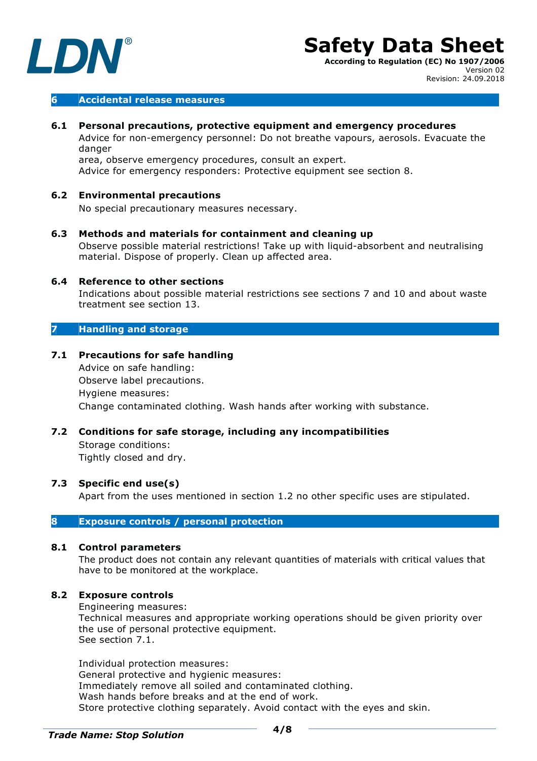

## **6 Accidental release measures**

## **6.1 Personal precautions, protective equipment and emergency procedures**

Advice for non-emergency personnel: Do not breathe vapours, aerosols. Evacuate the danger

area, observe emergency procedures, consult an expert. Advice for emergency responders: Protective equipment see section 8.

## **6.2 Environmental precautions**

No special precautionary measures necessary.

**6.3 Methods and materials for containment and cleaning up** Observe possible material restrictions! Take up with liquid-absorbent and neutralising material. Dispose of properly. Clean up affected area.

## **6.4 Reference to other sections**

Indications about possible material restrictions see sections 7 and 10 and about waste treatment see section 13.

## **7 Handling and storage**

**7.1 Precautions for safe handling**

Advice on safe handling: Observe label precautions. Hygiene measures: Change contaminated clothing. Wash hands after working with substance.

## **7.2 Conditions for safe storage, including any incompatibilities**

Storage conditions: Tightly closed and dry.

### **7.3 Specific end use(s)**

Apart from the uses mentioned in section 1.2 no other specific uses are stipulated.

## **8 Exposure controls / personal protection**

## **8.1 Control parameters**

The product does not contain any relevant quantities of materials with critical values that have to be monitored at the workplace.

## **8.2 Exposure controls**

Engineering measures:

Technical measures and appropriate working operations should be given priority over the use of personal protective equipment. See section 7.1.

Individual protection measures: General protective and hygienic measures: Immediately remove all soiled and contaminated clothing. Wash hands before breaks and at the end of work. Store protective clothing separately. Avoid contact with the eyes and skin.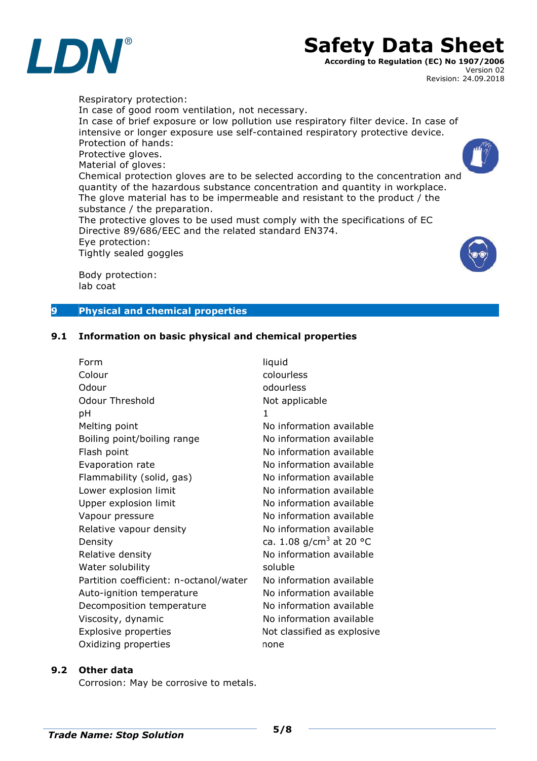

## **Safety Data Sheet**

**According to Regulation (EC) No 1907/2006** Version 02 Revision: 24.09.2018

Respiratory protection: In case of good room ventilation, not necessary. In case of brief exposure or low pollution use respiratory filter device. In case of intensive or longer exposure use self-contained respiratory protective device. Protection of hands: Protective gloves. Material of gloves: Chemical protection gloves are to be selected according to the concentration and quantity of the hazardous substance concentration and quantity in workplace. The glove material has to be impermeable and resistant to the product / the substance / the preparation. The protective gloves to be used must comply with the specifications of EC Directive 89/686/EEC and the related standard EN374. Eye protection: Tightly sealed goggles

Body protection: lab coat

## **9 Physical and chemical properties**

## **9.1 Information on basic physical and chemical properties**

| Form                                   | liquid                              |
|----------------------------------------|-------------------------------------|
| Colour                                 | colourless                          |
| Odour                                  | odourless                           |
| Odour Threshold                        | Not applicable                      |
| рH                                     | $\mathbf{1}$                        |
| Melting point                          | No information available            |
| Boiling point/boiling range            | No information available            |
| Flash point                            | No information available            |
| Evaporation rate                       | No information available            |
| Flammability (solid, gas)              | No information available            |
| Lower explosion limit                  | No information available            |
| Upper explosion limit                  | No information available            |
| Vapour pressure                        | No information available            |
| Relative vapour density                | No information available            |
| Density                                | ca. 1.08 g/cm <sup>3</sup> at 20 °C |
| Relative density                       | No information available            |
| Water solubility                       | soluble                             |
| Partition coefficient: n-octanol/water | No information available            |
| Auto-ignition temperature              | No information available            |
| Decomposition temperature              | No information available            |
| Viscosity, dynamic                     | No information available            |
| <b>Explosive properties</b>            | Not classified as explosive         |
| Oxidizing properties                   | none                                |

## **9.2 Other data**

Corrosion: May be corrosive to metals.

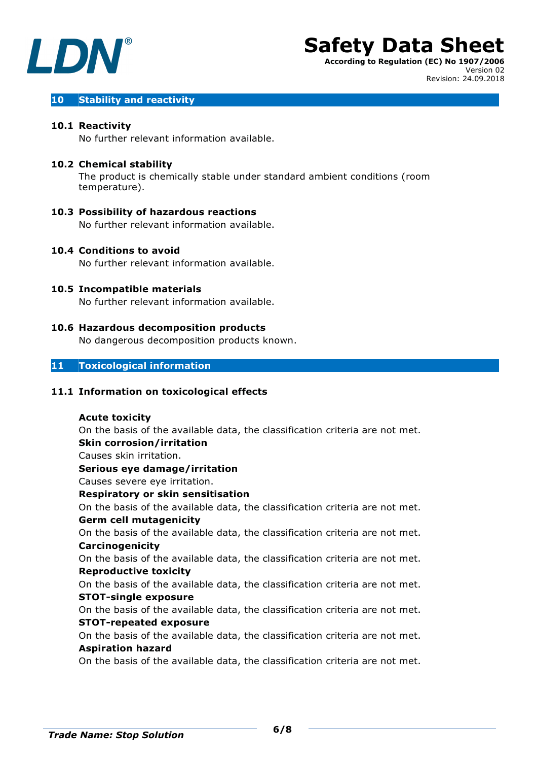

Version 02

Revision: 24.09.2018

## **10 Stability and reactivity**

## **10.1 Reactivity**

No further relevant information available.

## **10.2 Chemical stability**

The product is chemically stable under standard ambient conditions (room temperature).

## **10.3 Possibility of hazardous reactions**

No further relevant information available.

### **10.4 Conditions to avoid**

No further relevant information available.

## **10.5 Incompatible materials**

No further relevant information available.

## **10.6 Hazardous decomposition products**

No dangerous decomposition products known.

## **11 Toxicological information**

## **11.1 Information on toxicological effects**

## **Acute toxicity**

On the basis of the available data, the classification criteria are not met. **Skin corrosion/irritation** Causes skin irritation. **Serious eye damage/irritation**

Causes severe eye irritation.

## **Respiratory or skin sensitisation**

On the basis of the available data, the classification criteria are not met. **Germ cell mutagenicity** 

On the basis of the available data, the classification criteria are not met. **Carcinogenicity** 

On the basis of the available data, the classification criteria are not met. **Reproductive toxicity** 

## On the basis of the available data, the classification criteria are not met. **STOT-single exposure**

On the basis of the available data, the classification criteria are not met. **STOT-repeated exposure** 

On the basis of the available data, the classification criteria are not met. **Aspiration hazard** 

On the basis of the available data, the classification criteria are not met.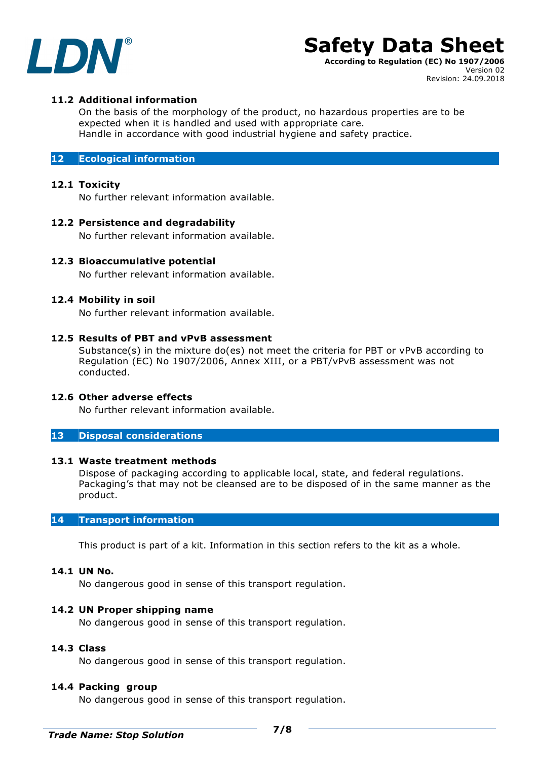

## **Safety Data Sheet**

**According to Regulation (EC) No 1907/2006** Version 02 Revision: 24.09.2018

## **11.2 Additional information**

On the basis of the morphology of the product, no hazardous properties are to be expected when it is handled and used with appropriate care. Handle in accordance with good industrial hygiene and safety practice.

## **12 Ecological information**

## **12.1 Toxicity**

No further relevant information available.

## **12.2 Persistence and degradability**

No further relevant information available.

## **12.3 Bioaccumulative potential**

No further relevant information available.

## **12.4 Mobility in soil**

No further relevant information available.

## **12.5 Results of PBT and vPvB assessment**

Substance(s) in the mixture do(es) not meet the criteria for PBT or vPvB according to Regulation (EC) No 1907/2006, Annex XIII, or a PBT/vPvB assessment was not conducted.

## **12.6 Other adverse effects**

No further relevant information available.

### **13 Disposal considerations**

### **13.1 Waste treatment methods**

Dispose of packaging according to applicable local, state, and federal regulations. Packaging's that may not be cleansed are to be disposed of in the same manner as the product.

## **14 Transport information**

This product is part of a kit. Information in this section refers to the kit as a whole.

## **14.1 UN No.**

No dangerous good in sense of this transport regulation.

## **14.2 UN Proper shipping name**

No dangerous good in sense of this transport regulation.

## **14.3 Class**

No dangerous good in sense of this transport regulation.

## **14.4 Packing group**

No dangerous good in sense of this transport regulation.